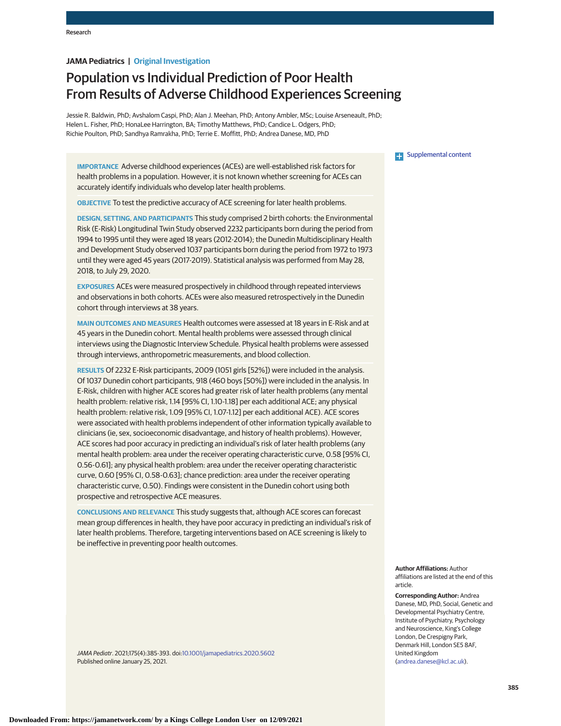# **JAMA Pediatrics | Original Investigation**

# Population vs Individual Prediction of Poor Health From Results of Adverse Childhood Experiences Screening

Jessie R. Baldwin, PhD; Avshalom Caspi, PhD; Alan J. Meehan, PhD; Antony Ambler, MSc; Louise Arseneault, PhD; Helen L. Fisher, PhD; HonaLee Harrington, BA; Timothy Matthews, PhD; Candice L. Odgers, PhD; Richie Poulton, PhD; Sandhya Ramrakha, PhD; Terrie E. Moffitt, PhD; Andrea Danese, MD, PhD

**IMPORTANCE** Adverse childhood experiences (ACEs) are well-established risk factors for health problems in a population. However, it is not known whether screening for ACEs can accurately identify individuals who develop later health problems.

**OBJECTIVE** To test the predictive accuracy of ACE screening for later health problems.

**DESIGN, SETTING, AND PARTICIPANTS** This study comprised 2 birth cohorts: the Environmental Risk (E-Risk) Longitudinal Twin Study observed 2232 participants born during the period from 1994 to 1995 until they were aged 18 years (2012-2014); the Dunedin Multidisciplinary Health and Development Study observed 1037 participants born during the period from 1972 to 1973 until they were aged 45 years (2017-2019). Statistical analysis was performed from May 28, 2018, to July 29, 2020.

**EXPOSURES** ACEs were measured prospectively in childhood through repeated interviews and observations in both cohorts. ACEs were also measured retrospectively in the Dunedin cohort through interviews at 38 years.

**MAIN OUTCOMES AND MEASURES** Health outcomes were assessed at 18 years in E-Risk and at 45 years in the Dunedin cohort. Mental health problems were assessed through clinical interviews using the Diagnostic Interview Schedule. Physical health problems were assessed through interviews, anthropometric measurements, and blood collection.

**RESULTS** Of 2232 E-Risk participants, 2009 (1051 girls [52%]) were included in the analysis. Of 1037 Dunedin cohort participants, 918 (460 boys [50%]) were included in the analysis. In E-Risk, children with higher ACE scores had greater risk of later health problems (any mental health problem: relative risk, 1.14 [95% CI, 1.10-1.18] per each additional ACE; any physical health problem: relative risk, 1.09 [95% CI, 1.07-1.12] per each additional ACE). ACE scores were associated with health problems independent of other information typically available to clinicians (ie, sex, socioeconomic disadvantage, and history of health problems). However, ACE scores had poor accuracy in predicting an individual's risk of later health problems (any mental health problem: area under the receiver operating characteristic curve, 0.58 [95% CI, 0.56-0.61]; any physical health problem: area under the receiver operating characteristic curve, 0.60 [95% CI, 0.58-0.63]; chance prediction: area under the receiver operating characteristic curve, 0.50). Findings were consistent in the Dunedin cohort using both prospective and retrospective ACE measures.

**CONCLUSIONS AND RELEVANCE** This study suggests that, although ACE scores can forecast mean group differences in health, they have poor accuracy in predicting an individual's risk of later health problems. Therefore, targeting interventions based on ACE screening is likely to be ineffective in preventing poor health outcomes.

JAMA Pediatr. 2021;175(4):385-393. doi[:10.1001/jamapediatrics.2020.5602](https://jamanetwork.com/journals/jama/fullarticle/10.1001/jamapediatrics.2020.5602?utm_campaign=articlePDF%26utm_medium=articlePDFlink%26utm_source=articlePDF%26utm_content=jamapediatrics.2020.5602) Published online January 25, 2021.

# **Examplemental content**

**Author Affiliations:** Author affiliations are listed at the end of this article.

**Corresponding Author:** Andrea Danese, MD, PhD, Social, Genetic and Developmental Psychiatry Centre, Institute of Psychiatry, Psychology and Neuroscience, King's College London, De Crespigny Park, Denmark Hill, London SE5 8AF, United Kingdom [\(andrea.danese@kcl.ac.uk\)](mailto:andrea.danese@kcl.ac.uk).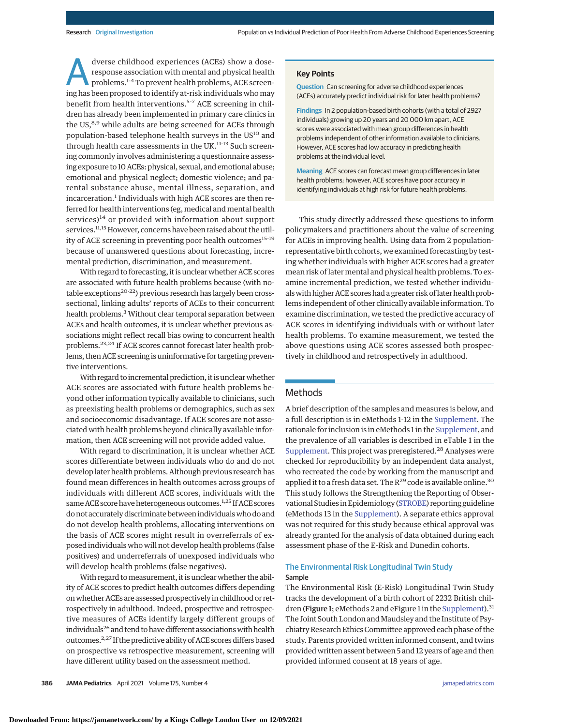dverse childhood experiences (ACEs) show a dose-<br>response association with mental and physical health<br>problems.<sup>1-4</sup> To prevent health problems, ACE screen-<br>ing has been proposed to identify at risk individuals who may response association with mental and physical health ing has been proposed to identify at-risk individuals who may benefit from health interventions.<sup>5-7</sup> ACE screening in children has already been implemented in primary care clinics in the US,<sup>8,9</sup> while adults are being screened for ACEs through population-based telephone health surveys in the US<sup>10</sup> and through health care assessments in the UK.<sup>11-13</sup> Such screening commonly involves administering a questionnaire assessing exposure to 10 ACEs: physical, sexual, and emotional abuse; emotional and physical neglect; domestic violence; and parental substance abuse, mental illness, separation, and incarceration.<sup>1</sup> Individuals with high ACE scores are then referred for health interventions (eg, medical and mental health services)<sup>14</sup> or provided with information about support services.<sup>11,15</sup> However, concerns have been raised about the utility of ACE screening in preventing poor health outcomes<sup>15-19</sup> because of unanswered questions about forecasting, incremental prediction, discrimination, and measurement.

With regard to forecasting, it is unclear whether ACE scores are associated with future health problems because (with notable exceptions<sup>20-22</sup>) previous research has largely been crosssectional, linking adults' reports of ACEs to their concurrent health problems.<sup>3</sup> Without clear temporal separation between ACEs and health outcomes, it is unclear whether previous associations might reflect recall bias owing to concurrent health problems.23,24 If ACE scores cannot forecast later health problems, then ACE screening is uninformative for targeting preventive interventions.

With regard to incremental prediction, it is unclear whether ACE scores are associated with future health problems beyond other information typically available to clinicians, such as preexisting health problems or demographics, such as sex and socioeconomic disadvantage. If ACE scores are not associated with health problems beyond clinically available information, then ACE screening will not provide added value.

With regard to discrimination, it is unclear whether ACE scores differentiate between individuals who do and do not develop later health problems. Although previous research has found mean differences in health outcomes across groups of individuals with different ACE scores, individuals with the same ACE score have heterogeneous outcomes.<sup>1,25</sup> If ACE scores do not accurately discriminate between individualswho do and do not develop health problems, allocating interventions on the basis of ACE scores might result in overreferrals of exposed individuals who will not develop health problems (false positives) and underreferrals of unexposed individuals who will develop health problems (false negatives).

With regard to measurement, it is unclear whether the ability of ACE scores to predict health outcomes differs depending onwhether ACEs are assessed prospectively in childhood or retrospectively in adulthood. Indeed, prospective and retrospective measures of ACEs identify largely different groups of individuals<sup>26</sup> and tend to have different associations with health outcomes.2,27 If the predictive ability of ACE scores differs based on prospective vs retrospective measurement, screening will have different utility based on the assessment method.

# **Key Points**

**Question** Can screening for adverse childhood experiences (ACEs) accurately predict individual risk for later health problems?

**Findings** In 2 population-based birth cohorts (with a total of 2927 individuals) growing up 20 years and 20 000 km apart, ACE scores were associated with mean group differences in health problems independent of other information available to clinicians. However, ACE scores had low accuracy in predicting health problems at the individual level.

**Meaning** ACE scores can forecast mean group differences in later health problems; however, ACE scores have poor accuracy in identifying individuals at high risk for future health problems.

This study directly addressed these questions to inform policymakers and practitioners about the value of screening for ACEs in improving health. Using data from 2 populationrepresentative birth cohorts, we examined forecasting by testing whether individuals with higher ACE scores had a greater mean risk of later mental and physical health problems. To examine incremental prediction, we tested whether individualswith higher ACE scores had a greater risk of later health problems independent of other clinically available information. To examine discrimination, we tested the predictive accuracy of ACE scores in identifying individuals with or without later health problems. To examine measurement, we tested the above questions using ACE scores assessed both prospectively in childhood and retrospectively in adulthood.

# Methods

A brief description of the samples and measures is below, and a full description is in eMethods 1-12 in the [Supplement.](https://jamanetwork.com/journals/jama/fullarticle/10.1001/jamapediatrics.2020.5602?utm_campaign=articlePDF%26utm_medium=articlePDFlink%26utm_source=articlePDF%26utm_content=jamapediatrics.2020.5602) The rationale for inclusion is in eMethods 1 in the [Supplement,](https://jamanetwork.com/journals/jama/fullarticle/10.1001/jamapediatrics.2020.5602?utm_campaign=articlePDF%26utm_medium=articlePDFlink%26utm_source=articlePDF%26utm_content=jamapediatrics.2020.5602) and the prevalence of all variables is described in eTable 1 in the [Supplement.](https://jamanetwork.com/journals/jama/fullarticle/10.1001/jamapediatrics.2020.5602?utm_campaign=articlePDF%26utm_medium=articlePDFlink%26utm_source=articlePDF%26utm_content=jamapediatrics.2020.5602) This project was preregistered.<sup>28</sup> Analyses were checked for reproducibility by an independent data analyst, who recreated the code by working from the manuscript and applied it to a fresh data set. The  $R^{29}$  code is available online.<sup>30</sup> This study follows the Strengthening the Reporting of Observational Studies in Epidemiology [\(STROBE\)](https://www.equator-network.org/reporting-guidelines/strobe/) reporting guideline (eMethods 13 in the [Supplement\)](https://jamanetwork.com/journals/jama/fullarticle/10.1001/jamapediatrics.2020.5602?utm_campaign=articlePDF%26utm_medium=articlePDFlink%26utm_source=articlePDF%26utm_content=jamapediatrics.2020.5602). A separate ethics approval was not required for this study because ethical approval was already granted for the analysis of data obtained during each assessment phase of the E-Risk and Dunedin cohorts.

# The Environmental Risk Longitudinal Twin Study Sample

The Environmental Risk (E-Risk) Longitudinal Twin Study tracks the development of a birth cohort of 2232 British chil-dren (Figure 1; eMethods 2 and eFigure 1 in the [Supplement\)](https://jamanetwork.com/journals/jama/fullarticle/10.1001/jamapediatrics.2020.5602?utm_campaign=articlePDF%26utm_medium=articlePDFlink%26utm_source=articlePDF%26utm_content=jamapediatrics.2020.5602).<sup>31</sup> The Joint South London and Maudsley and the Institute of Psychiatry Research Ethics Committee approved each phase of the study. Parents provided written informed consent, and twins provided written assent between 5 and 12 years of age and then provided informed consent at 18 years of age.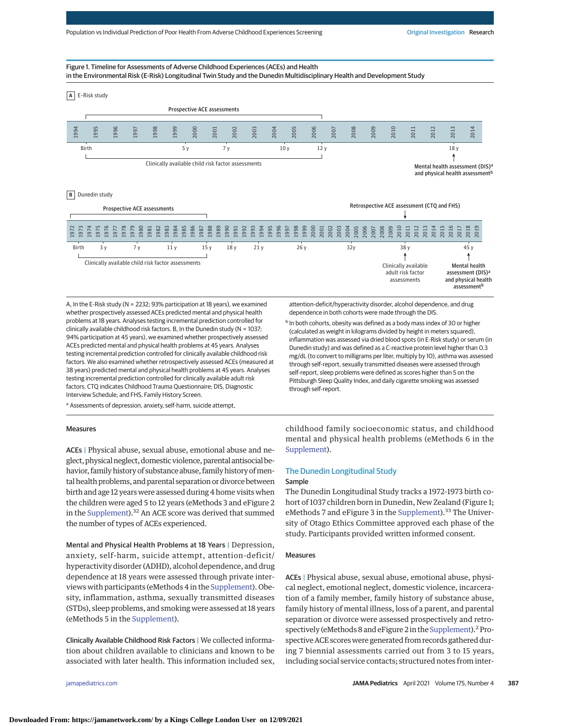#### Figure 1. Timeline for Assessments of Adverse Childhood Experiences (ACEs) and Health in the Environmental Risk (E-Risk) Longitudinal Twin Study and the Dunedin Multidisciplinary Health and Development Study



A, In the E-Risk study (N = 2232; 93% participation at 18 years), we examined whether prospectively assessed ACEs predicted mental and physical health problems at 18 years. Analyses testing incremental prediction controlled for clinically available childhood risk factors. B, In the Dunedin study (N = 1037; 94% participation at 45 years), we examined whether prospectively assessed ACEs predicted mental and physical health problems at 45 years. Analyses testing incremental prediction controlled for clinically available childhood risk factors. We also examined whether retrospectively assessed ACEs (measured at 38 years) predicted mental and physical health problems at 45 years. Analyses testing incremental prediction controlled for clinically available adult risk factors. CTQ indicates Childhood Trauma Questionnaire; DIS, Diagnostic Interview Schedule; and FHS, Family History Screen.

a Assessments of depression, anxiety, self-harm, suicide attempt,

#### Measures

ACEs | Physical abuse, sexual abuse, emotional abuse and neglect, physical neglect, domestic violence, parental antisocial behavior, family history of substance abuse, family history of mental health problems, and parental separation or divorce between birth and age 12 years were assessed during 4 home visits when the children were aged 5 to 12 years (eMethods 3 and eFigure 2 in the [Supplement\)](https://jamanetwork.com/journals/jama/fullarticle/10.1001/jamapediatrics.2020.5602?utm_campaign=articlePDF%26utm_medium=articlePDFlink%26utm_source=articlePDF%26utm_content=jamapediatrics.2020.5602).32 An ACE score was derived that summed the number of types of ACEs experienced.

Mental and Physical Health Problems at 18 Years | Depression, anxiety, self-harm, suicide attempt, attention-deficit/ hyperactivity disorder (ADHD), alcohol dependence, and drug dependence at 18 years were assessed through private interviews with participants (eMethods 4 in the [Supplement\)](https://jamanetwork.com/journals/jama/fullarticle/10.1001/jamapediatrics.2020.5602?utm_campaign=articlePDF%26utm_medium=articlePDFlink%26utm_source=articlePDF%26utm_content=jamapediatrics.2020.5602). Obesity, inflammation, asthma, sexually transmitted diseases (STDs), sleep problems, and smoking were assessed at 18 years (eMethods 5 in the [Supplement\)](https://jamanetwork.com/journals/jama/fullarticle/10.1001/jamapediatrics.2020.5602?utm_campaign=articlePDF%26utm_medium=articlePDFlink%26utm_source=articlePDF%26utm_content=jamapediatrics.2020.5602).

Clinically Available Childhood Risk Factors | We collected information about children available to clinicians and known to be associated with later health. This information included sex,

attention-deficit/hyperactivity disorder, alcohol dependence, and drug dependence in both cohorts were made through the DIS.

<sup>b</sup> In both cohorts, obesity was defined as a body mass index of 30 or higher (calculated as weight in kilograms divided by height in meters squared), inflammation was assessed via dried blood spots (in E-Risk study) or serum (in Dunedin study) and was defined as a C-reactive protein level higher than 0.3 mg/dL (to convert to milligrams per liter, multiply by 10), asthma was assessed through self-report, sexually transmitted diseases were assessed through self-report, sleep problems were defined as scores higher than 5 on the Pittsburgh Sleep Quality Index, and daily cigarette smoking was assessed through self-report.

childhood family socioeconomic status, and childhood mental and physical health problems (eMethods 6 in the [Supplement\)](https://jamanetwork.com/journals/jama/fullarticle/10.1001/jamapediatrics.2020.5602?utm_campaign=articlePDF%26utm_medium=articlePDFlink%26utm_source=articlePDF%26utm_content=jamapediatrics.2020.5602).

# The Dunedin Longitudinal Study

#### Sample

The Dunedin Longitudinal Study tracks a 1972-1973 birth cohort of 1037 children born in Dunedin, New Zealand (Figure 1; eMethods 7 and eFigure 3 in the [Supplement\)](https://jamanetwork.com/journals/jama/fullarticle/10.1001/jamapediatrics.2020.5602?utm_campaign=articlePDF%26utm_medium=articlePDFlink%26utm_source=articlePDF%26utm_content=jamapediatrics.2020.5602).<sup>33</sup> The University of Otago Ethics Committee approved each phase of the study. Participants provided written informed consent.

#### Measures

ACEs | Physical abuse, sexual abuse, emotional abuse, physical neglect, emotional neglect, domestic violence, incarceration of a family member, family history of substance abuse, family history of mental illness, loss of a parent, and parental separation or divorce were assessed prospectively and retro-spectively (eMethods 8 and eFigure 2 in the [Supplement\)](https://jamanetwork.com/journals/jama/fullarticle/10.1001/jamapediatrics.2020.5602?utm_campaign=articlePDF%26utm_medium=articlePDFlink%26utm_source=articlePDF%26utm_content=jamapediatrics.2020.5602).<sup>2</sup> Prospective ACE scores were generated from records gathered during 7 biennial assessments carried out from 3 to 15 years, including social service contacts; structured notes from inter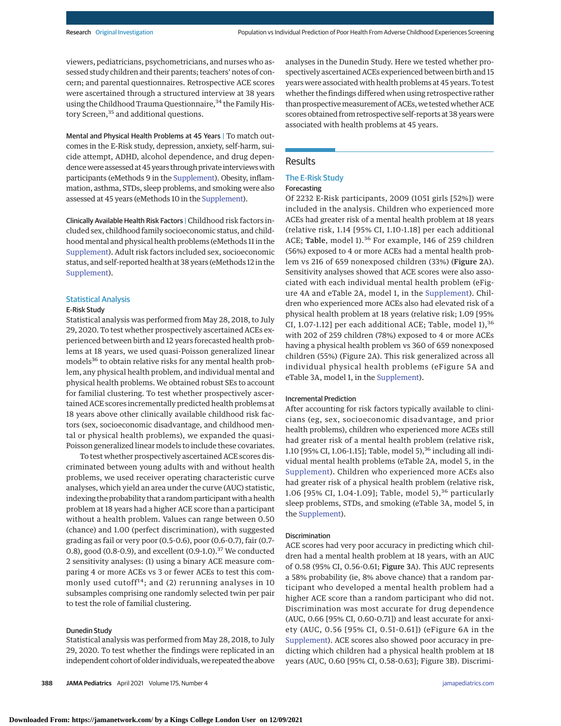viewers, pediatricians, psychometricians, and nurses who assessed study children and their parents; teachers' notes of concern; and parental questionnaires. Retrospective ACE scores were ascertained through a structured interview at 38 years using the Childhood Trauma Questionnaire,<sup>34</sup> the Family History Screen,<sup>35</sup> and additional questions.

Mental and Physical Health Problems at 45 Years | To match outcomes in the E-Risk study, depression, anxiety, self-harm, suicide attempt, ADHD, alcohol dependence, and drug dependence were assessed at 45 years through private interviews with participants (eMethods 9 in the [Supplement\)](https://jamanetwork.com/journals/jama/fullarticle/10.1001/jamapediatrics.2020.5602?utm_campaign=articlePDF%26utm_medium=articlePDFlink%26utm_source=articlePDF%26utm_content=jamapediatrics.2020.5602). Obesity, inflammation, asthma, STDs, sleep problems, and smoking were also assessed at 45 years (eMethods 10 in the [Supplement\)](https://jamanetwork.com/journals/jama/fullarticle/10.1001/jamapediatrics.2020.5602?utm_campaign=articlePDF%26utm_medium=articlePDFlink%26utm_source=articlePDF%26utm_content=jamapediatrics.2020.5602).

Clinically Available Health Risk Factors | Childhood risk factors included sex, childhood family socioeconomic status, and childhood mental and physical health problems (eMethods 11 in the [Supplement\)](https://jamanetwork.com/journals/jama/fullarticle/10.1001/jamapediatrics.2020.5602?utm_campaign=articlePDF%26utm_medium=articlePDFlink%26utm_source=articlePDF%26utm_content=jamapediatrics.2020.5602). Adult risk factors included sex, socioeconomic status, and self-reported health at 38 years (eMethods 12 in the [Supplement\)](https://jamanetwork.com/journals/jama/fullarticle/10.1001/jamapediatrics.2020.5602?utm_campaign=articlePDF%26utm_medium=articlePDFlink%26utm_source=articlePDF%26utm_content=jamapediatrics.2020.5602).

# Statistical Analysis

#### E-Risk Study

Statistical analysis was performed from May 28, 2018, to July 29, 2020. To test whether prospectively ascertained ACEs experienced between birth and 12 years forecasted health problems at 18 years, we used quasi-Poisson generalized linear models<sup>36</sup> to obtain relative risks for any mental health problem, any physical health problem, and individual mental and physical health problems. We obtained robust SEs to account for familial clustering. To test whether prospectively ascertained ACE scores incrementally predicted health problems at 18 years above other clinically available childhood risk factors (sex, socioeconomic disadvantage, and childhood mental or physical health problems), we expanded the quasi-Poisson generalized linear models to include these covariates.

To test whether prospectively ascertained ACE scores discriminated between young adults with and without health problems, we used receiver operating characteristic curve analyses, which yield an area under the curve (AUC) statistic, indexing the probability that a random participant with a health problem at 18 years had a higher ACE score than a participant without a health problem. Values can range between 0.50 (chance) and 1.00 (perfect discrimination), with suggested grading as fail or very poor (0.5-0.6), poor (0.6-0.7), fair (0.7- 0.8), good (0.8-0.9), and excellent (0.9-1.0).<sup>37</sup> We conducted 2 sensitivity analyses: (1) using a binary ACE measure comparing 4 or more ACEs vs 3 or fewer ACEs to test this commonly used cutoff<sup>14</sup>; and (2) rerunning analyses in 10 subsamples comprising one randomly selected twin per pair to test the role of familial clustering.

#### Dunedin Study

Statistical analysis was performed from May 28, 2018, to July 29, 2020. To test whether the findings were replicated in an independent cohort of older individuals, we repeated the above

**388 JAMA Pediatrics** April 2021 Volume 175, Number 4 **(Reprinted)** [jamapediatrics.com](http://www.jamapediatrics.com?utm_campaign=articlePDF%26utm_medium=articlePDFlink%26utm_source=articlePDF%26utm_content=jamapediatrics.2020.5602)

analyses in the Dunedin Study. Here we tested whether prospectively ascertained ACEs experienced between birth and 15 years were associated with health problems at 45 years. To test whether the findings differed when using retrospective rather than prospective measurement of ACEs, we tested whether ACE scores obtained from retrospective self-reports at 38 years were associated with health problems at 45 years.

# Results

# The E-Risk Study

#### Forecasting

Of 2232 E-Risk participants, 2009 (1051 girls [52%]) were included in the analysis. Children who experienced more ACEs had greater risk of a mental health problem at 18 years (relative risk, 1.14 [95% CI, 1.10-1.18] per each additional ACE; Table, model 1).<sup>36</sup> For example, 146 of 259 children (56%) exposed to 4 or more ACEs had a mental health problem vs 216 of 659 nonexposed children (33%) (Figure 2A). Sensitivity analyses showed that ACE scores were also associated with each individual mental health problem (eFigure 4A and eTable 2A, model 1, in the [Supplement\)](https://jamanetwork.com/journals/jama/fullarticle/10.1001/jamapediatrics.2020.5602?utm_campaign=articlePDF%26utm_medium=articlePDFlink%26utm_source=articlePDF%26utm_content=jamapediatrics.2020.5602). Children who experienced more ACEs also had elevated risk of a physical health problem at 18 years (relative risk; 1.09 [95% CI, 1.07-1.12] per each additional ACE; Table, model  $1$ ),<sup>36</sup> with 202 of 259 children (78%) exposed to 4 or more ACEs having a physical health problem vs 360 of 659 nonexposed children (55%) (Figure 2A). This risk generalized across all individual physical health problems (eFigure 5A and eTable 3A, model 1, in the [Supplement\)](https://jamanetwork.com/journals/jama/fullarticle/10.1001/jamapediatrics.2020.5602?utm_campaign=articlePDF%26utm_medium=articlePDFlink%26utm_source=articlePDF%26utm_content=jamapediatrics.2020.5602).

# Incremental Prediction

After accounting for risk factors typically available to clinicians (eg, sex, socioeconomic disadvantage, and prior health problems), children who experienced more ACEs still had greater risk of a mental health problem (relative risk, 1.10 [95% CI, 1.06-1.15]; Table, model 5),<sup>36</sup> including all individual mental health problems (eTable 2A, model 5, in the [Supplement\)](https://jamanetwork.com/journals/jama/fullarticle/10.1001/jamapediatrics.2020.5602?utm_campaign=articlePDF%26utm_medium=articlePDFlink%26utm_source=articlePDF%26utm_content=jamapediatrics.2020.5602). Children who experienced more ACEs also had greater risk of a physical health problem (relative risk, 1.06 [95% CI, 1.04-1.09]; Table, model 5),<sup>36</sup> particularly sleep problems, STDs, and smoking (eTable 3A, model 5, in the [Supplement\)](https://jamanetwork.com/journals/jama/fullarticle/10.1001/jamapediatrics.2020.5602?utm_campaign=articlePDF%26utm_medium=articlePDFlink%26utm_source=articlePDF%26utm_content=jamapediatrics.2020.5602).

# Discrimination

ACE scores had very poor accuracy in predicting which children had a mental health problem at 18 years, with an AUC of 0.58 (95% CI, 0.56-0.61; Figure 3A). This AUC represents a 58% probability (ie, 8% above chance) that a random participant who developed a mental health problem had a higher ACE score than a random participant who did not. Discrimination was most accurate for drug dependence (AUC, 0.66 [95% CI, 0.60-0.71]) and least accurate for anxiety (AUC, 0.56 [95% CI, 0.51-0.61]) (eFigure 6A in the [Supplement\)](https://jamanetwork.com/journals/jama/fullarticle/10.1001/jamapediatrics.2020.5602?utm_campaign=articlePDF%26utm_medium=articlePDFlink%26utm_source=articlePDF%26utm_content=jamapediatrics.2020.5602). ACE scores also showed poor accuracy in predicting which children had a physical health problem at 18 years (AUC, 0.60 [95% CI, 0.58-0.63]; Figure 3B). Discrimi-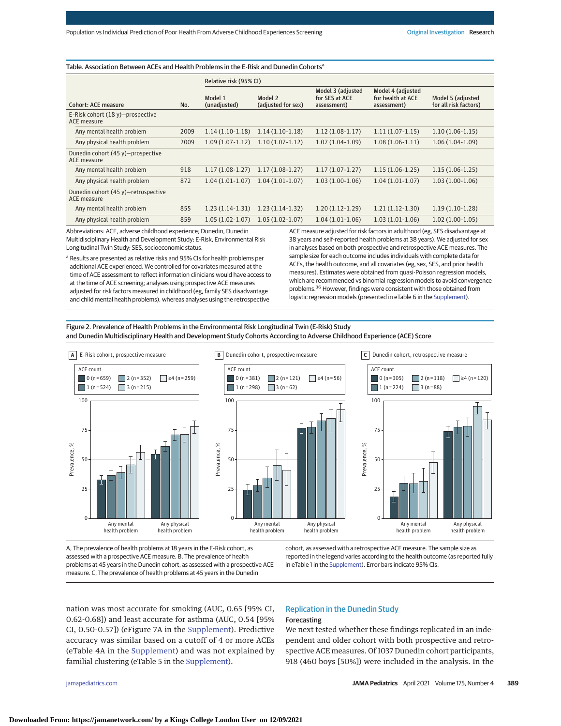| Table. Association Between ACEs and Health Problems in the E-Risk and Dunedin Cohorts <sup>a</sup> |      |                         |                               |                                                    |                                                       |                                            |
|----------------------------------------------------------------------------------------------------|------|-------------------------|-------------------------------|----------------------------------------------------|-------------------------------------------------------|--------------------------------------------|
|                                                                                                    |      | Relative risk (95% CI)  |                               |                                                    |                                                       |                                            |
| <b>Cohort: ACE measure</b>                                                                         | No.  | Model 1<br>(unadjusted) | Model 2<br>(adjusted for sex) | Model 3 (adjusted<br>for SES at ACE<br>assessment) | Model 4 (adjusted<br>for health at ACE<br>assessment) | Model 5 (adjusted<br>for all risk factors) |
| E-Risk cohort $(18 y)$ -prospective<br>ACE measure                                                 |      |                         |                               |                                                    |                                                       |                                            |
| Any mental health problem                                                                          | 2009 | $1.14(1.10-1.18)$       | $1.14(1.10-1.18)$             | $1.12(1.08-1.17)$                                  | $1.11(1.07-1.15)$                                     | $1.10(1.06-1.15)$                          |
| Any physical health problem                                                                        | 2009 | $1.09(1.07-1.12)$       | $1.10(1.07-1.12)$             | $1.07(1.04-1.09)$                                  | $1.08(1.06-1.11)$                                     | $1.06(1.04-1.09)$                          |
| Dunedin cohort (45 y)-prospective<br>ACE measure                                                   |      |                         |                               |                                                    |                                                       |                                            |
| Any mental health problem                                                                          | 918  | $1.17(1.08-1.27)$       | $1.17(1.08-1.27)$             | $1.17(1.07-1.27)$                                  | $1.15(1.06-1.25)$                                     | $1.15(1.06-1.25)$                          |
| Any physical health problem                                                                        | 872  | $1.04(1.01-1.07)$       | $1.04(1.01-1.07)$             | $1.03(1.00-1.06)$                                  | $1.04(1.01-1.07)$                                     | $1.03(1.00-1.06)$                          |
| Dunedin cohort $(45 y)$ -retrospective<br>ACE measure                                              |      |                         |                               |                                                    |                                                       |                                            |
| Any mental health problem                                                                          | 855  | $1.23(1.14-1.31)$       | $1.23(1.14-1.32)$             | $1.20(1.12-1.29)$                                  | $1.21(1.12-1.30)$                                     | $1.19(1.10-1.28)$                          |
| Any physical health problem                                                                        | 859  | $1.05(1.02-1.07)$       | $1.05(1.02-1.07)$             | $1.04(1.01-1.06)$                                  | $1.03(1.01-1.06)$                                     | $1.02(1.00-1.05)$                          |

Abbreviations: ACE, adverse childhood experience; Dunedin, Dunedin Multidisciplinary Health and Development Study; E-Risk, Environmental Risk Longitudinal Twin Study; SES, socioeconomic status.

a Results are presented as relative risks and 95% CIs for health problems per additional ACE experienced. We controlled for covariates measured at the time of ACE assessment to reflect information clinicians would have access to at the time of ACE screening; analyses using prospective ACE measures adjusted for risk factors measured in childhood (eg, family SES disadvantage and child mental health problems), whereas analyses using the retrospective

ACE measure adjusted for risk factors in adulthood (eg, SES disadvantage at 38 years and self-reported health problems at 38 years). We adjusted for sex in analyses based on both prospective and retrospective ACE measures. The sample size for each outcome includes individuals with complete data for ACEs, the health outcome, and all covariates (eg, sex, SES, and prior health measures). Estimates were obtained from quasi-Poisson regression models, which are recommended vs binomial regression models to avoid convergence problems.36 However, findings were consistent with those obtained from logistic regression models (presented in eTable 6 in the [Supplement\)](https://jamanetwork.com/journals/jama/fullarticle/10.1001/jamapediatrics.2020.5602?utm_campaign=articlePDF%26utm_medium=articlePDFlink%26utm_source=articlePDF%26utm_content=jamapediatrics.2020.5602).

Figure 2. Prevalence of Health Problems in the Environmental Risk Longitudinal Twin (E-Risk) Study and Dunedin Multidisciplinary Health and Development Study Cohorts According to Adverse Childhood Experience (ACE) Score



A, The prevalence of health problems at 18 years in the E-Risk cohort, as assessed with a prospective ACE measure. B, The prevalence of health problems at 45 years in the Dunedin cohort, as assessed with a prospective ACE measure. C, The prevalence of health problems at 45 years in the Dunedin

cohort, as assessed with a retrospective ACE measure. The sample size as reported in the legend varies according to the health outcome (as reported fully in eTable 1 in the [Supplement\)](https://jamanetwork.com/journals/jama/fullarticle/10.1001/jamapediatrics.2020.5602?utm_campaign=articlePDF%26utm_medium=articlePDFlink%26utm_source=articlePDF%26utm_content=jamapediatrics.2020.5602). Error bars indicate 95% CIs.

nation was most accurate for smoking (AUC, 0.65 [95% CI, 0.62-0.68]) and least accurate for asthma (AUC, 0.54 [95% CI, 0.50-0.57]) (eFigure 7A in the [Supplement\)](https://jamanetwork.com/journals/jama/fullarticle/10.1001/jamapediatrics.2020.5602?utm_campaign=articlePDF%26utm_medium=articlePDFlink%26utm_source=articlePDF%26utm_content=jamapediatrics.2020.5602). Predictive accuracy was similar based on a cutoff of 4 or more ACEs (eTable 4A in the [Supplement\)](https://jamanetwork.com/journals/jama/fullarticle/10.1001/jamapediatrics.2020.5602?utm_campaign=articlePDF%26utm_medium=articlePDFlink%26utm_source=articlePDF%26utm_content=jamapediatrics.2020.5602) and was not explained by familial clustering (eTable 5 in the [Supplement\)](https://jamanetwork.com/journals/jama/fullarticle/10.1001/jamapediatrics.2020.5602?utm_campaign=articlePDF%26utm_medium=articlePDFlink%26utm_source=articlePDF%26utm_content=jamapediatrics.2020.5602).

# Replication in the Dunedin Study Forecasting

We next tested whether these findings replicated in an independent and older cohort with both prospective and retrospective ACE measures. Of 1037 Dunedin cohort participants, 918 (460 boys [50%]) were included in the analysis. In the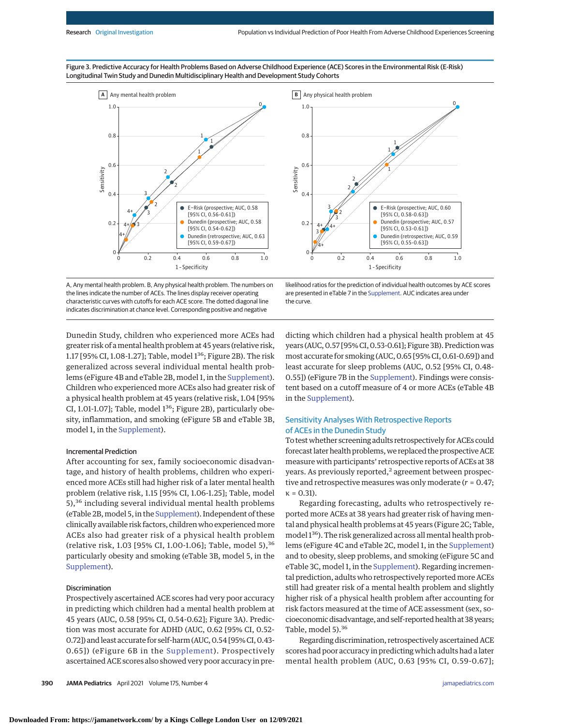0





A, Any mental health problem. B, Any physical health problem. The numbers on the lines indicate the number of ACEs. The lines display receiver operating characteristic curves with cutoffs for each ACE score. The dotted diagonal line indicates discrimination at chance level. Corresponding positive and negative

Dunedin Study, children who experienced more ACEs had greater risk of amental health problem at 45 years (relative risk, 1.17 [95% CI, 1.08-1.27]; Table, model 136; Figure 2B). The risk generalized across several individual mental health problems (eFigure 4B and eTable 2B, model 1, in the [Supplement\)](https://jamanetwork.com/journals/jama/fullarticle/10.1001/jamapediatrics.2020.5602?utm_campaign=articlePDF%26utm_medium=articlePDFlink%26utm_source=articlePDF%26utm_content=jamapediatrics.2020.5602). Children who experienced more ACEs also had greater risk of a physical health problem at 45 years (relative risk, 1.04 [95% CI, 1.01-1.07]; Table, model 1<sup>36</sup>; Figure 2B), particularly obesity, inflammation, and smoking (eFigure 5B and eTable 3B, model 1, in the [Supplement\)](https://jamanetwork.com/journals/jama/fullarticle/10.1001/jamapediatrics.2020.5602?utm_campaign=articlePDF%26utm_medium=articlePDFlink%26utm_source=articlePDF%26utm_content=jamapediatrics.2020.5602).

#### Incremental Prediction

After accounting for sex, family socioeconomic disadvantage, and history of health problems, children who experienced more ACEs still had higher risk of a later mental health problem (relative risk, 1.15 [95% CI, 1.06-1.25]; Table, model 5),<sup>36</sup> including several individual mental health problems (eTable 2B,model 5, in the [Supplement\)](https://jamanetwork.com/journals/jama/fullarticle/10.1001/jamapediatrics.2020.5602?utm_campaign=articlePDF%26utm_medium=articlePDFlink%26utm_source=articlePDF%26utm_content=jamapediatrics.2020.5602). Independent of these clinically available risk factors, children who experiencedmore ACEs also had greater risk of a physical health problem (relative risk, 1.03 [95% CI, 1.00-1.06]; Table, model 5),<sup>36</sup> particularly obesity and smoking (eTable 3B, model 5, in the [Supplement\)](https://jamanetwork.com/journals/jama/fullarticle/10.1001/jamapediatrics.2020.5602?utm_campaign=articlePDF%26utm_medium=articlePDFlink%26utm_source=articlePDF%26utm_content=jamapediatrics.2020.5602).

#### Discrimination

Prospectively ascertained ACE scores had very poor accuracy in predicting which children had a mental health problem at 45 years (AUC, 0.58 [95% CI, 0.54-0.62]; Figure 3A). Prediction was most accurate for ADHD (AUC, 0.62 [95% CI, 0.52- 0.72]) and least accurate for self-harm (AUC, 0.54 [95% CI, 0.43- 0.65]) (eFigure 6B in the [Supplement\)](https://jamanetwork.com/journals/jama/fullarticle/10.1001/jamapediatrics.2020.5602?utm_campaign=articlePDF%26utm_medium=articlePDFlink%26utm_source=articlePDF%26utm_content=jamapediatrics.2020.5602). Prospectively ascertained ACE scores also showed very poor accuracy in pre-

likelihood ratios for the prediction of individual health outcomes by ACE scores are presented in eTable 7 in the [Supplement.](https://jamanetwork.com/journals/jama/fullarticle/10.1001/jamapediatrics.2020.5602?utm_campaign=articlePDF%26utm_medium=articlePDFlink%26utm_source=articlePDF%26utm_content=jamapediatrics.2020.5602) AUC indicates area under the curve.

dicting which children had a physical health problem at 45 years (AUC, 0.57 [95% CI, 0.53-0.61]; Figure 3B). Prediction was most accurate for smoking (AUC, 0.65 [95% CI, 0.61-0.69]) and least accurate for sleep problems (AUC, 0.52 [95% CI, 0.48- 0.55]) (eFigure 7B in the [Supplement\)](https://jamanetwork.com/journals/jama/fullarticle/10.1001/jamapediatrics.2020.5602?utm_campaign=articlePDF%26utm_medium=articlePDFlink%26utm_source=articlePDF%26utm_content=jamapediatrics.2020.5602). Findings were consistent based on a cutoff measure of 4 or more ACEs (eTable 4B in the [Supplement\)](https://jamanetwork.com/journals/jama/fullarticle/10.1001/jamapediatrics.2020.5602?utm_campaign=articlePDF%26utm_medium=articlePDFlink%26utm_source=articlePDF%26utm_content=jamapediatrics.2020.5602).

# Sensitivity Analyses With Retrospective Reports of ACEs in the Dunedin Study

To test whether screening adults retrospectively for ACEs could forecast later health problems, we replaced the prospective ACE measure with participants' retrospective reports of ACEs at 38 years. As previously reported, $2$  agreement between prospective and retrospective measures was only moderate (*r* = 0.47; κ = 0.31).

Regarding forecasting, adults who retrospectively reported more ACEs at 38 years had greater risk of having mental and physical health problems at 45 years (Figure 2C; Table, model 136). The risk generalized across all mental health problems (eFigure 4C and eTable 2C, model 1, in the [Supplement\)](https://jamanetwork.com/journals/jama/fullarticle/10.1001/jamapediatrics.2020.5602?utm_campaign=articlePDF%26utm_medium=articlePDFlink%26utm_source=articlePDF%26utm_content=jamapediatrics.2020.5602) and to obesity, sleep problems, and smoking (eFigure 5C and eTable 3C, model 1, in the [Supplement\)](https://jamanetwork.com/journals/jama/fullarticle/10.1001/jamapediatrics.2020.5602?utm_campaign=articlePDF%26utm_medium=articlePDFlink%26utm_source=articlePDF%26utm_content=jamapediatrics.2020.5602). Regarding incremental prediction, adults who retrospectively reported more ACEs still had greater risk of a mental health problem and slightly higher risk of a physical health problem after accounting for risk factors measured at the time of ACE assessment (sex, socioeconomic disadvantage, and self-reported health at 38 years; Table, model 5).<sup>36</sup>

Regarding discrimination, retrospectively ascertained ACE scores had poor accuracy in predicting which adults had a later mental health problem (AUC, 0.63 [95% CI, 0.59-0.67];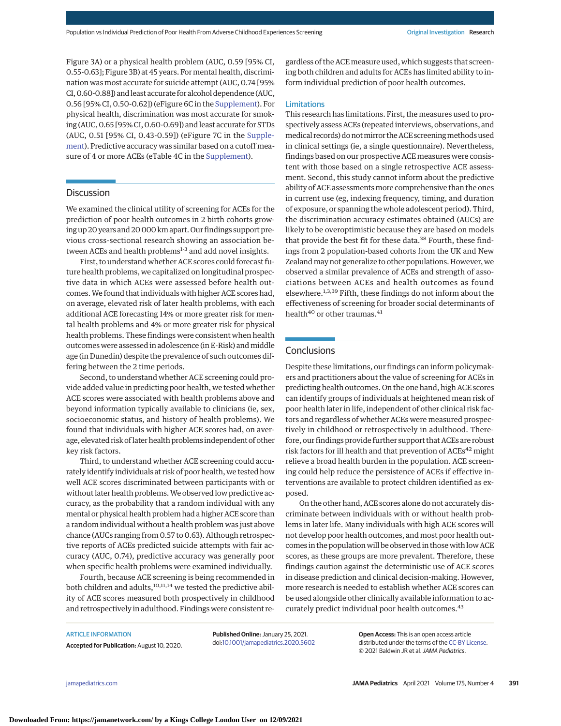Figure 3A) or a physical health problem (AUC, 0.59 [95% CI, 0.55-0.63]; Figure 3B) at 45 years. For mental health, discrimination was most accurate for suicide attempt (AUC, 0.74 [95% CI, 0.60-0.88]) and least accurate for alcohol dependence (AUC, 0.56 [95% CI, 0.50-0.62]) (eFigure 6C in the [Supplement\)](https://jamanetwork.com/journals/jama/fullarticle/10.1001/jamapediatrics.2020.5602?utm_campaign=articlePDF%26utm_medium=articlePDFlink%26utm_source=articlePDF%26utm_content=jamapediatrics.2020.5602). For physical health, discrimination was most accurate for smoking (AUC, 0.65 [95% CI, 0.60-0.69]) and least accurate for STDs (AUC, 0.51 [95% CI, 0.43-0.59]) (eFigure 7C in the [Supple](https://jamanetwork.com/journals/jama/fullarticle/10.1001/jamapediatrics.2020.5602?utm_campaign=articlePDF%26utm_medium=articlePDFlink%26utm_source=articlePDF%26utm_content=jamapediatrics.2020.5602)[ment\)](https://jamanetwork.com/journals/jama/fullarticle/10.1001/jamapediatrics.2020.5602?utm_campaign=articlePDF%26utm_medium=articlePDFlink%26utm_source=articlePDF%26utm_content=jamapediatrics.2020.5602). Predictive accuracy was similar based on a cutoff measure of 4 or more ACEs (eTable 4C in the [Supplement\)](https://jamanetwork.com/journals/jama/fullarticle/10.1001/jamapediatrics.2020.5602?utm_campaign=articlePDF%26utm_medium=articlePDFlink%26utm_source=articlePDF%26utm_content=jamapediatrics.2020.5602).

#### **Discussion**

We examined the clinical utility of screening for ACEs for the prediction of poor health outcomes in 2 birth cohorts growing up 20 years and 20 000 km apart. Our findings support previous cross-sectional research showing an association between ACEs and health problems<sup>1-3</sup> and add novel insights.

First, to understand whether ACE scores could forecast future health problems, we capitalized on longitudinal prospective data in which ACEs were assessed before health outcomes.We found that individuals with higher ACE scores had, on average, elevated risk of later health problems, with each additional ACE forecasting 14% or more greater risk for mental health problems and 4% or more greater risk for physical health problems. These findings were consistent when health outcomes were assessed in adolescence (in E-Risk) and middle age (in Dunedin) despite the prevalence of such outcomes differing between the 2 time periods.

Second, to understand whether ACE screening could provide added value in predicting poor health, we tested whether ACE scores were associated with health problems above and beyond information typically available to clinicians (ie, sex, socioeconomic status, and history of health problems). We found that individuals with higher ACE scores had, on average, elevated risk of later health problems independent of other key risk factors.

Third, to understand whether ACE screening could accurately identify individuals at risk of poor health, we tested how well ACE scores discriminated between participants with or without later health problems.We observed low predictive accuracy, as the probability that a random individual with any mental or physical health problem had a higher ACE score than a random individual without a health problem was just above chance (AUCs ranging from 0.57 to 0.63). Although retrospective reports of ACEs predicted suicide attempts with fair accuracy (AUC, 0.74), predictive accuracy was generally poor when specific health problems were examined individually.

Fourth, because ACE screening is being recommended in both children and adults,<sup>10,11,14</sup> we tested the predictive ability of ACE scores measured both prospectively in childhood and retrospectively in adulthood. Findings were consistent regardless of the ACE measure used, which suggests that screening both children and adults for ACEs has limited ability to inform individual prediction of poor health outcomes.

# Limitations

This research has limitations. First, the measures used to prospectively assess ACEs (repeated interviews, observations, and medical records) do not mirror the ACE screening methods used in clinical settings (ie, a single questionnaire). Nevertheless, findings based on our prospective ACE measures were consistent with those based on a single retrospective ACE assessment. Second, this study cannot inform about the predictive ability of ACE assessments more comprehensive than the ones in current use (eg, indexing frequency, timing, and duration of exposure, or spanning the whole adolescent period). Third, the discrimination accuracy estimates obtained (AUCs) are likely to be overoptimistic because they are based on models that provide the best fit for these data.<sup>38</sup> Fourth, these findings from 2 population-based cohorts from the UK and New Zealand may not generalize to other populations. However, we observed a similar prevalence of ACEs and strength of associations between ACEs and health outcomes as found elsewhere.<sup>1,3,39</sup> Fifth, these findings do not inform about the effectiveness of screening for broader social determinants of health<sup>40</sup> or other traumas.<sup>41</sup>

# **Conclusions**

Despite these limitations, our findings can inform policymakers and practitioners about the value of screening for ACEs in predicting health outcomes. On the one hand, high ACE scores can identify groups of individuals at heightened mean risk of poor health later in life, independent of other clinical risk factors and regardless of whether ACEs were measured prospectively in childhood or retrospectively in adulthood. Therefore, our findings provide further support that ACEs are robust risk factors for ill health and that prevention of ACEs<sup>42</sup> might relieve a broad health burden in the population. ACE screening could help reduce the persistence of ACEs if effective interventions are available to protect children identified as exposed.

On the other hand, ACE scores alone do not accurately discriminate between individuals with or without health problems in later life. Many individuals with high ACE scores will not develop poor health outcomes, and most poor health outcomes in the population will be observed in those with low ACE scores, as these groups are more prevalent. Therefore, these findings caution against the deterministic use of ACE scores in disease prediction and clinical decision-making. However, more research is needed to establish whether ACE scores can be used alongside other clinically available information to accurately predict individual poor health outcomes.<sup>43</sup>

ARTICLE INFORMATION

**Accepted for Publication:** August 10, 2020.

**Published Online:** January 25, 2021. doi[:10.1001/jamapediatrics.2020.5602](https://jamanetwork.com/journals/jama/fullarticle/10.1001/jamapediatrics.2020.5602?utm_campaign=articlePDF%26utm_medium=articlePDFlink%26utm_source=articlePDF%26utm_content=jamapediatrics.2020.5602)

**Open Access:** This is an open access article distributed under the terms of the [CC-BY License.](https://jamanetwork.com/pages/cc-by-license-permissions?utm_campaign=articlePDF%26utm_medium=articlePDFlink%26utm_source=articlePDF%26utm_content=jamapediatrics.2020.5602) © 2021 Baldwin JR et al.JAMA Pediatrics.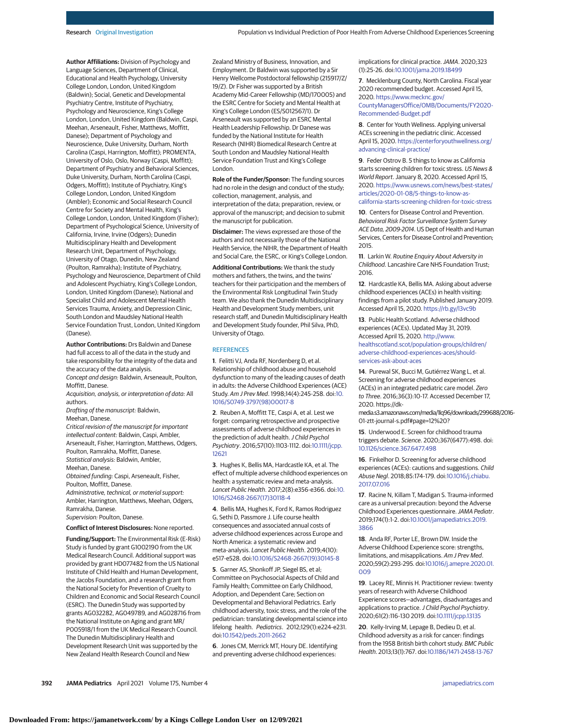**Author Affiliations:** Division of Psychology and Language Sciences, Department of Clinical, Educational and Health Psychology, University College London, London, United Kingdom (Baldwin); Social, Genetic and Developmental Psychiatry Centre, Institute of Psychiatry, Psychology and Neuroscience, King's College London, London, United Kingdom (Baldwin, Caspi, Meehan, Arseneault, Fisher, Matthews, Moffitt, Danese); Department of Psychology and Neuroscience, Duke University, Durham, North Carolina (Caspi, Harrington, Moffitt); PROMENTA, University of Oslo, Oslo, Norway (Caspi, Moffitt); Department of Psychiatry and Behavioral Sciences, Duke University, Durham, North Carolina (Caspi, Odgers, Moffitt); Institute of Psychiatry, King's College London, London, United Kingdom (Ambler); Economic and Social Research Council Centre for Society and Mental Health, King's College London, London, United Kingdom (Fisher); Department of Psychological Science, University of California, Irvine, Irvine (Odgers); Dunedin Multidisciplinary Health and Development Research Unit, Department of Psychology, University of Otago, Dunedin, New Zealand (Poulton, Ramrakha); Institute of Psychiatry, Psychology and Neuroscience, Department of Child and Adolescent Psychiatry, King's College London, London, United Kingdom (Danese); National and Specialist Child and Adolescent Mental Health Services Trauma, Anxiety, and Depression Clinic, South London and Maudsley National Health Service Foundation Trust, London, United Kingdom (Danese).

**Author Contributions:** Drs Baldwin and Danese had full access to all of the data in the study and take responsibility for the integrity of the data and the accuracy of the data analysis. Concept and design: Baldwin, Arseneault, Poulton,

Moffitt, Danese.

Acquisition, analysis, or interpretation of data: All authors.

Drafting of the manuscript: Baldwin,

Meehan, Danese.

Critical revision of the manuscript for important intellectual content: Baldwin, Caspi, Ambler, Arseneault, Fisher, Harrington, Matthews, Odgers, Poulton, Ramrakha, Moffitt, Danese.

Statistical analysis: Baldwin, Ambler,

Meehan, Danese.

Obtained funding: Caspi, Arseneault, Fisher, Poulton, Moffitt, Danese.

Administrative, technical, or material support: Ambler, Harrington, Matthews, Meehan, Odgers, Ramrakha, Danese.

Supervision: Poulton, Danese.

**Conflict of Interest Disclosures:** None reported.

**Funding/Support:** The Environmental Risk (E-Risk) Study is funded by grant G1002190 from the UK Medical Research Council. Additional support was provided by grant HD077482 from the US National Institute of Child Health and Human Development, the Jacobs Foundation, and a research grant from the National Society for Prevention of Cruelty to Children and Economic and Social Research Council (ESRC). The Dunedin Study was supported by grants AG032282, AG049789, and AG028716 from the National Institute on Aging and grant MR/ P005918/1 from the UK Medical Research Council. The Dunedin Multidisciplinary Health and Development Research Unit was supported by the New Zealand Health Research Council and New

Zealand Ministry of Business, Innovation, and Employment. Dr Baldwin was supported by a Sir Henry Wellcome Postdoctoral fellowship (215917/Z/ 19/Z). Dr Fisher was supported by a British Academy Mid-Career Fellowship (MD/170005) and the ESRC Centre for Society and Mental Health at King's College London (ES/S012567/1). Dr Arseneault was supported by an ESRC Mental Health Leadership Fellowship. Dr Danese was funded by the National Institute for Health Research (NIHR) Biomedical Research Centre at South London and Maudsley National Health Service Foundation Trust and King's College London.

**Role of the Funder/Sponsor:** The funding sources had no role in the design and conduct of the study; collection, management, analysis, and interpretation of the data; preparation, review, or approval of the manuscript; and decision to submit the manuscript for publication.

**Disclaimer:** The views expressed are those of the authors and not necessarily those of the National Health Service, the NIHR, the Department of Health and Social Care, the ESRC, or King's College London.

**Additional Contributions:** We thank the study mothers and fathers, the twins, and the twins' teachers for their participation and the members of the Environmental Risk Longitudinal Twin Study team. We also thank the Dunedin Multidisciplinary Health and Development Study members, unit research staff, and Dunedin Multidisciplinary Health and Development Study founder, Phil Silva, PhD, University of Otago.

#### **REFERENCES**

**1**. Felitti VJ, Anda RF, Nordenberg D, et al. Relationship of childhood abuse and household dysfunction to many of the leading causes of death in adults: the Adverse Childhood Experiences (ACE) Study. Am J Prev Med. 1998;14(4):245-258. doi[:10.](https://dx.doi.org/10.1016/S0749-3797(98)00017-8) [1016/S0749-3797\(98\)00017-8](https://dx.doi.org/10.1016/S0749-3797(98)00017-8)

**2**. Reuben A, Moffitt TE, Caspi A, et al. Lest we forget: comparing retrospective and prospective assessments of adverse childhood experiences in the prediction of adult health. J Child Psychol Psychiatry. 2016;57(10):1103-1112. doi[:10.1111/jcpp.](https://dx.doi.org/10.1111/jcpp.12621) [12621](https://dx.doi.org/10.1111/jcpp.12621)

**3**. Hughes K, Bellis MA, Hardcastle KA, et al. The effect of multiple adverse childhood experiences on health: a systematic review and meta-analysis. Lancet Public Health. 2017;2(8):e356-e366. doi[:10.](https://dx.doi.org/10.1016/S2468-2667(17)30118-4) [1016/S2468-2667\(17\)30118-4](https://dx.doi.org/10.1016/S2468-2667(17)30118-4)

**4**. Bellis MA, Hughes K, Ford K, Ramos Rodriguez G, Sethi D, Passmore J. Life course health consequences and associated annual costs of adverse childhood experiences across Europe and North America: a systematic review and meta-analysis. Lancet Public Health. 2019;4(10): e517-e528. doi[:10.1016/S2468-2667\(19\)30145-8](https://dx.doi.org/10.1016/S2468-2667(19)30145-8)

**5**. Garner AS, Shonkoff JP, Siegel BS, et al; Committee on Psychosocial Aspects of Child and Family Health; Committee on Early Childhood, Adoption, and Dependent Care; Section on Developmental and Behavioral Pediatrics. Early childhood adversity, toxic stress, and the role of the pediatrician: translating developmental science into lifelong health. Pediatrics. 2012;129(1):e224-e231. doi[:10.1542/peds.2011-2662](https://dx.doi.org/10.1542/peds.2011-2662)

**6**. Jones CM, Merrick MT, Houry DE. Identifying and preventing adverse childhood experiences:

implications for clinical practice. JAMA. 2020;323 (1):25-26. doi[:10.1001/jama.2019.18499](https://jamanetwork.com/journals/jama/fullarticle/10.1001/jama.2019.18499?utm_campaign=articlePDF%26utm_medium=articlePDFlink%26utm_source=articlePDF%26utm_content=jamapediatrics.2020.5602)

**7**. Mecklenburg County, North Carolina. Fiscal year 2020 recommended budget. Accessed April 15, 2020. [https://www.mecknc.gov/](https://www.mecknc.gov/CountyManagersOffice/OMB/Documents/FY2020-Recommended-Budget.pdf) [CountyManagersOffice/OMB/Documents/FY2020-](https://www.mecknc.gov/CountyManagersOffice/OMB/Documents/FY2020-Recommended-Budget.pdf) [Recommended-Budget.pdf](https://www.mecknc.gov/CountyManagersOffice/OMB/Documents/FY2020-Recommended-Budget.pdf)

**8**. Center for Youth Wellness. Applying universal ACEs screening in the pediatric clinic. Accessed April 15, 2020. [https://centerforyouthwellness.org/](https://centerforyouthwellness.org/advancing-clinical-practice/) [advancing-clinical-practice/](https://centerforyouthwellness.org/advancing-clinical-practice/)

**9**. Feder Ostrov B. 5 things to know as California starts screening children for toxic stress. US News & World Report. January 8, 2020. Accessed April 15, 2020. [https://www.usnews.com/news/best-states/](https://www.usnews.com/news/best-states/articles/2020-01-08/5-things-to-know-as-california-starts-screening-children-for-toxic-stress) [articles/2020-01-08/5-things-to-know-as](https://www.usnews.com/news/best-states/articles/2020-01-08/5-things-to-know-as-california-starts-screening-children-for-toxic-stress)[california-starts-screening-children-for-toxic-stress](https://www.usnews.com/news/best-states/articles/2020-01-08/5-things-to-know-as-california-starts-screening-children-for-toxic-stress)

**10**. Centers for Disease Control and Prevention. Behavioral Risk Factor Surveillance System Survey ACE Data, 2009-2014. US Dept of Health and Human Services, Centers for Disease Control and Prevention; 2015.

**11**. Larkin W. Routine Enquiry About Adversity in Childhood. Lancashire Care NHS Foundation Trust; 2016.

**12**. Hardcastle KA, Bellis MA. Asking about adverse childhood experiences (ACEs) in health visiting: findings from a pilot study. Published January 2019. Accessed April 15, 2020. <https://rb.gy/l3vc9b>

**13**. Public Health Scotland. Adverse childhood experiences (ACEs). Updated May 31, 2019. Accessed April 15, 2020. [http://www.](http://www.healthscotland.scot/population-groups/children/adverse-childhood-experiences-aces/should-services-ask-about-aces) [healthscotland.scot/population-groups/children/](http://www.healthscotland.scot/population-groups/children/adverse-childhood-experiences-aces/should-services-ask-about-aces) [adverse-childhood-experiences-aces/should](http://www.healthscotland.scot/population-groups/children/adverse-childhood-experiences-aces/should-services-ask-about-aces)[services-ask-about-aces](http://www.healthscotland.scot/population-groups/children/adverse-childhood-experiences-aces/should-services-ask-about-aces)

**14**. Purewal SK, Bucci M, Gutiérrez Wang L, et al. Screening for adverse childhood experiences (ACEs) in an integrated pediatric care model. Zero to Three. 2016;36(3):10-17. Accessed December 17, 2020. https://dk-

media.s3.amazonaws.com/media/1lq96/downloads/299688/2016- 01-ztt-journal-s.pdf#page=12%20?

**15**. Underwood E. Screen for childhood trauma triggers debate. Science. 2020;367(6477):498. doi: [10.1126/science.367.6477.498](https://dx.doi.org/10.1126/science.367.6477.498)

**16**. Finkelhor D. Screening for adverse childhood experiences (ACEs): cautions and suggestions. Child Abuse Negl. 2018;85:174-179. doi[:10.1016/j.chiabu.](https://dx.doi.org/10.1016/j.chiabu.2017.07.016) [2017.07.016](https://dx.doi.org/10.1016/j.chiabu.2017.07.016)

**17**. Racine N, Killam T, Madigan S. Trauma-informed care as a universal precaution: beyond the Adverse Childhood Experiences questionnaire. JAMA Pediatr. 2019;174(1):1-2. doi[:10.1001/jamapediatrics.2019.](https://jamanetwork.com/journals/jama/fullarticle/10.1001/jamapediatrics.2019.3866?utm_campaign=articlePDF%26utm_medium=articlePDFlink%26utm_source=articlePDF%26utm_content=jamapediatrics.2020.5602) [3866](https://jamanetwork.com/journals/jama/fullarticle/10.1001/jamapediatrics.2019.3866?utm_campaign=articlePDF%26utm_medium=articlePDFlink%26utm_source=articlePDF%26utm_content=jamapediatrics.2020.5602)

**18**. Anda RF, Porter LE, Brown DW. Inside the Adverse Childhood Experience score: strengths, limitations, and misapplications. Am J Prev Med. 2020;59(2):293-295. doi[:10.1016/j.amepre.2020.01.](https://dx.doi.org/10.1016/j.amepre.2020.01.009) [009](https://dx.doi.org/10.1016/j.amepre.2020.01.009)

**19**. Lacey RE, Minnis H. Practitioner review: twenty years of research with Adverse Childhood Experience scores—advantages, disadvantages and applications to practice. J Child Psychol Psychiatry. 2020;61(2):116-130 2019. doi[:10.1111/jcpp.13135](https://dx.doi.org/10.1111/jcpp.13135)

**20**. Kelly-Irving M, Lepage B, Dedieu D, et al. Childhood adversity as a risk for cancer: findings from the 1958 British birth cohort study. BMC Public Health. 2013;13(1):767. doi[:10.1186/1471-2458-13-767](https://dx.doi.org/10.1186/1471-2458-13-767)